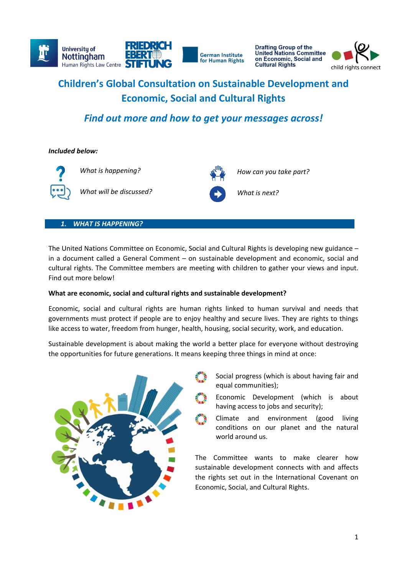

**Drafting Group of the<br>United Nations Committee** on Economic, Social and



# **Children's Global Consultation on Sustainable Development and Economic, Social and Cultural Rights**

# *Find out more and how to get your messages across!*

*Included below:* 



*What will be discussed? What is next?*



What is happening? **How can you take part?** 

# *1. WHAT IS HAPPENING?*

The United Nations Committee on Economic, Social and Cultural Rights is developing new guidance – in a document called a General Comment – on sustainable development and economic, social and cultural rights. The Committee members are meeting with children to gather your views and input. Find out more below!

# **What are economic, social and cultural rights and sustainable development?**

Economic, social and cultural rights are human rights linked to human survival and needs that governments must protect if people are to enjoy healthy and secure lives. They are rights to things like access to water, freedom from hunger, health, housing, social security, work, and education.

Sustainable development is about making the world a better place for everyone without destroying the opportunities for future generations. It means keeping three things in mind at once:



- Social progress (which is about having fair and equal communities);
- Economic Development (which is about having access to jobs and security);
- Climate and environment (good living conditions on our planet and the natural world around us.

The Committee wants to make clearer how sustainable development connects with and affects the rights set out in the International Covenant on Economic, Social, and Cultural Rights.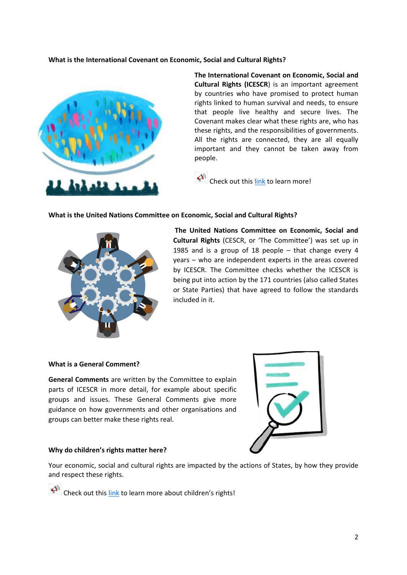**What is the International Covenant on Economic, Social and Cultural Rights?** 



**The International Covenant on Economic, Social and Cultural Rights (ICESCR**) is an important agreement by countries who have promised to protect human rights linked to human survival and needs, to ensure that people live healthy and secure lives. The Covenant makes clear what these rights are, who has these rights, and the responsibilities of governments. All the rights are connected, they are all equally important and they cannot be taken away from people.

 $\overbrace{ }^{(n)}$  Check out this [link](https://childrightsconnect.org/wp-content/uploads/2022/02/icescr-child_friendly_version.pdf) to learn more!

# **What is the United Nations Committee on Economic, Social and Cultural Rights?**



**The United Nations Committee on Economic, Social and Cultural Rights** (CESCR, or 'The Committee') was set up in 1985 and is a group of 18 people – that change every 4 years – who are independent experts in the areas covered by ICESCR. The Committee checks whether the ICESCR is being put into action by the 171 countries (also called States or State Parties) that have agreed to follow the standards included in it.

# **What is a General Comment?**

**General Comments** are written by the Committee to explain parts of ICESCR in more detail, for example about specific groups and issues. These General Comments give more guidance on how governments and other organisations and groups can better make these rights real.



# **Why do children's rights matter here?**

Your economic, social and cultural rights are impacted by the actions of States, by how they provide and respect these rights.

 $\widehat{C}^{(k)}$  Check out thi[s link](https://www.unicef.org/child-rights-convention) to learn more about children's rights!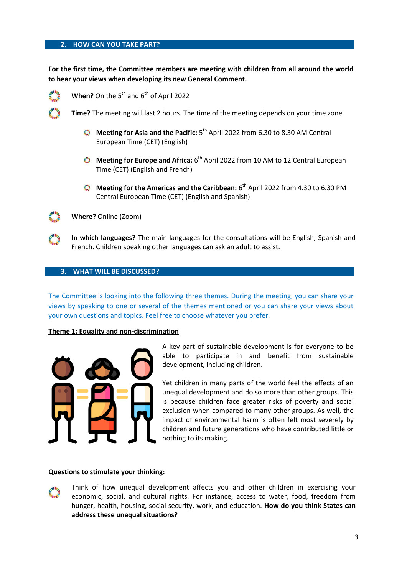# **2. HOW CAN YOU TAKE PART?**

**For the first time, the Committee members are meeting with children from all around the world to hear your views when developing its new General Comment.**



**When?** On the 5<sup>th</sup> and 6<sup>th</sup> of April 2022

**Time?** The meeting will last 2 hours. The time of the meeting depends on your time zone.

- Meeting for Asia and the Pacific: 5<sup>th</sup> April 2022 from 6.30 to 8.30 AM Central European Time (CET) (English)
- Meeting for Europe and Africa: 6<sup>th</sup> April 2022 from 10 AM to 12 Central European Time (CET) (English and French)
- Meeting for the Americas and the Caribbean: 6<sup>th</sup> April 2022 from 4.30 to 6.30 PM Central European Time (CET) (English and Spanish)



**Where?** Online (Zoom)

**In which languages?** The main languages for the consultations will be English, Spanish and French. Children speaking other languages can ask an adult to assist.

#### **3. WHAT WILL BE DISCUSSED?**

The Committee is looking into the following three themes. During the meeting, you can share your views by speaking to one or several of the themes mentioned or you can share your views about your own questions and topics. Feel free to choose whatever you prefer.

#### **Theme 1: Equality and non-discrimination**



A key part of sustainable development is for everyone to be able to participate in and benefit from sustainable development, including children.

Yet children in many parts of the world feel the effects of an unequal development and do so more than other groups. This is because children face greater risks of poverty and social exclusion when compared to many other groups. As well, the impact of environmental harm is often felt most severely by children and future generations who have contributed little or nothing to its making.

#### **Questions to stimulate your thinking:**



Think of how unequal development affects you and other children in exercising your economic, social, and cultural rights. For instance, access to water, food, freedom from hunger, health, housing, social security, work, and education. **How do you think States can address these unequal situations?**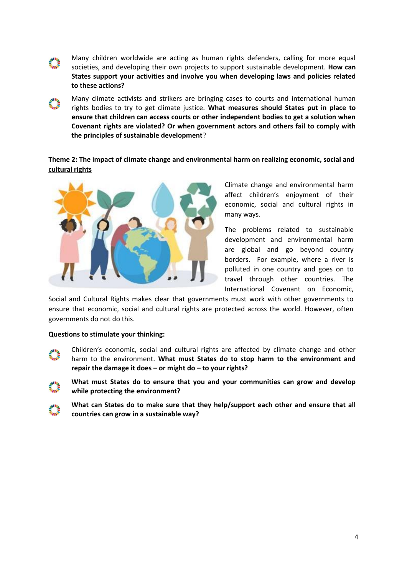

Many climate activists and strikers are bringing cases to courts and international human rights bodies to try to get climate justice. **What measures should States put in place to ensure that children can access courts or other independent bodies to get a solution when Covenant rights are violated? Or when government actors and others fail to comply with the principles of sustainable development**?

# **Theme 2: The impact of climate change and environmental harm on realizing economic, social and cultural rights**



Climate change and environmental harm affect children's enjoyment of their economic, social and cultural rights in many ways.

The problems related to sustainable development and environmental harm are global and go beyond country borders. For example, where a river is polluted in one country and goes on to travel through other countries. The International Covenant on Economic,

Social and Cultural Rights makes clear that governments must work with other governments to ensure that economic, social and cultural rights are protected across the world. However, often governments do not do this.

# **Questions to stimulate your thinking:**

- Children's economic, social and cultural rights are affected by climate change and other harm to the environment. **What must States do to stop harm to the environment and repair the damage it does – or might do – to your rights?**
- **What must States do to ensure that you and your communities can grow and develop while protecting the environment?** 
	- **What can States do to make sure that they help/support each other and ensure that all countries can grow in a sustainable way?**